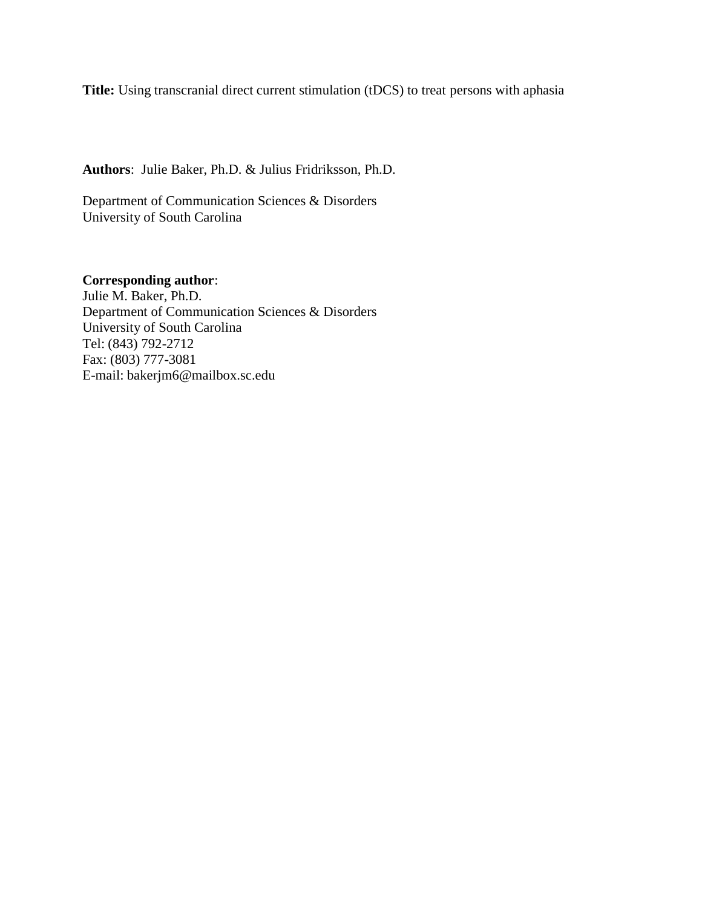**Title:** Using transcranial direct current stimulation (tDCS) to treat persons with aphasia

**Authors**: Julie Baker, Ph.D. & Julius Fridriksson, Ph.D.

Department of Communication Sciences & Disorders University of South Carolina

**Corresponding author**: Julie M. Baker, Ph.D. Department of Communication Sciences & Disorders University of South Carolina Tel: (843) 792-2712 Fax: (803) 777-3081 E-mail: bakerjm6@mailbox.sc.edu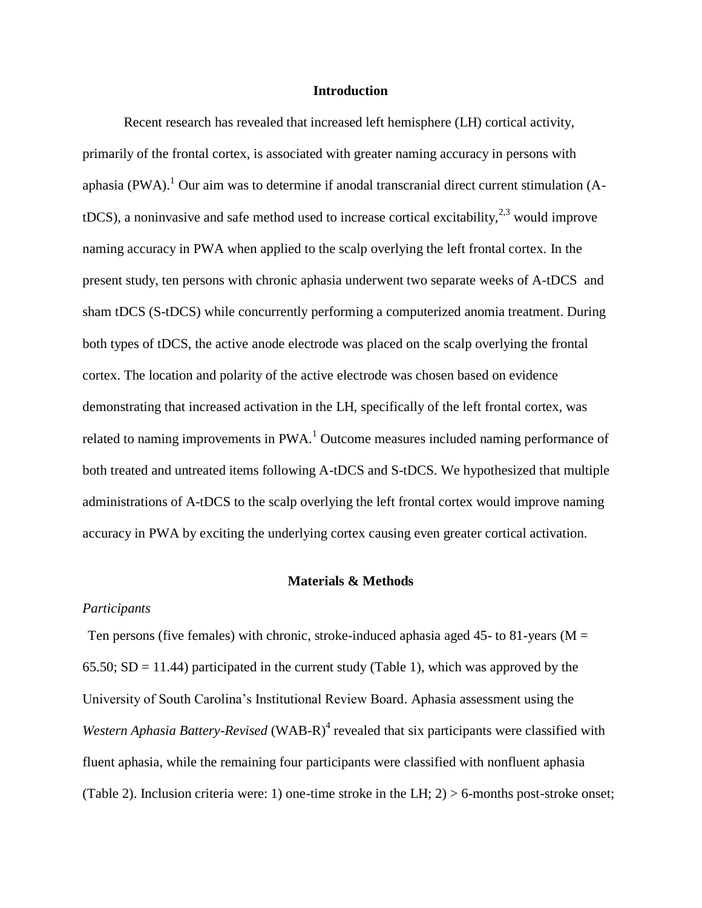#### **Introduction**

Recent research has revealed that increased left hemisphere (LH) cortical activity, primarily of the frontal cortex, is associated with greater naming accuracy in persons with aphasia (PWA).<sup>1</sup> Our aim was to determine if anodal transcranial direct current stimulation (AtDCS), a noninvasive and safe method used to increase cortical excitability,  $2^{3}$  would improve naming accuracy in PWA when applied to the scalp overlying the left frontal cortex. In the present study, ten persons with chronic aphasia underwent two separate weeks of A-tDCS and sham tDCS (S-tDCS) while concurrently performing a computerized anomia treatment. During both types of tDCS, the active anode electrode was placed on the scalp overlying the frontal cortex. The location and polarity of the active electrode was chosen based on evidence demonstrating that increased activation in the LH, specifically of the left frontal cortex, was related to naming improvements in  $PWA<sup>1</sup>$  Outcome measures included naming performance of both treated and untreated items following A-tDCS and S-tDCS. We hypothesized that multiple administrations of A-tDCS to the scalp overlying the left frontal cortex would improve naming accuracy in PWA by exciting the underlying cortex causing even greater cortical activation.

#### **Materials & Methods**

## *Participants*

Ten persons (five females) with chronic, stroke-induced aphasia aged 45- to 81-years ( $M =$ 65.50;  $SD = 11.44$ ) participated in the current study (Table 1), which was approved by the University of South Carolina's Institutional Review Board. Aphasia assessment using the Western Aphasia Battery-Revised (WAB-R)<sup>4</sup> revealed that six participants were classified with fluent aphasia, while the remaining four participants were classified with nonfluent aphasia (Table 2). Inclusion criteria were: 1) one-time stroke in the LH; 2) > 6-months post-stroke onset;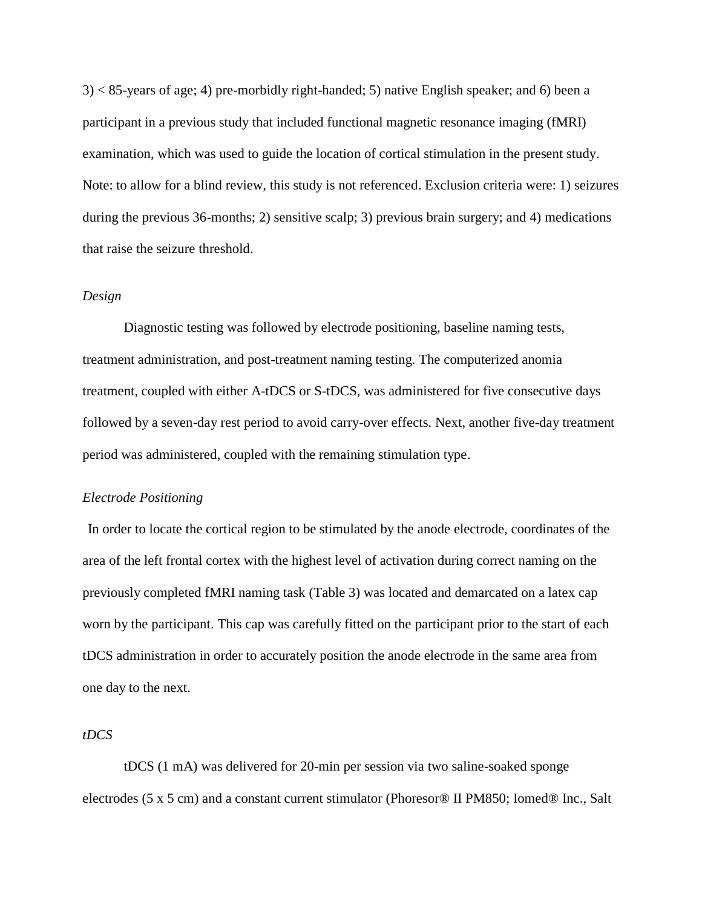$3$  < 85-years of age; 4) pre-morbidly right-handed; 5) native English speaker; and 6) been a participant in a previous study that included functional magnetic resonance imaging (fMRI) examination, which was used to guide the location of cortical stimulation in the present study. Note: to allow for a blind review, this study is not referenced. Exclusion criteria were: 1) seizures during the previous 36-months; 2) sensitive scalp; 3) previous brain surgery; and 4) medications that raise the seizure threshold.

## *Design*

Diagnostic testing was followed by electrode positioning, baseline naming tests, treatment administration, and post-treatment naming testing. The computerized anomia treatment, coupled with either A-tDCS or S-tDCS, was administered for five consecutive days followed by a seven-day rest period to avoid carry-over effects. Next, another five-day treatment period was administered, coupled with the remaining stimulation type.

### *Electrode Positioning*

In order to locate the cortical region to be stimulated by the anode electrode, coordinates of the area of the left frontal cortex with the highest level of activation during correct naming on the previously completed fMRI naming task (Table 3) was located and demarcated on a latex cap worn by the participant. This cap was carefully fitted on the participant prior to the start of each tDCS administration in order to accurately position the anode electrode in the same area from one day to the next.

## *tDCS*

tDCS (1 mA) was delivered for 20-min per session via two saline-soaked sponge electrodes (5 x 5 cm) and a constant current stimulator (Phoresor® II PM850; Iomed® Inc., Salt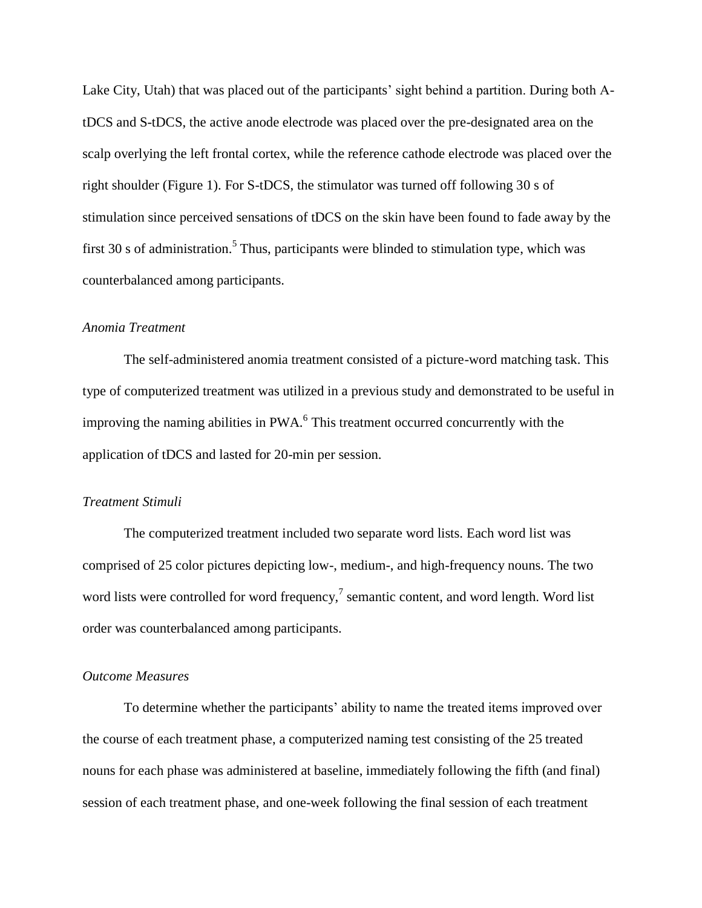Lake City, Utah) that was placed out of the participants' sight behind a partition. During both AtDCS and S-tDCS, the active anode electrode was placed over the pre-designated area on the scalp overlying the left frontal cortex, while the reference cathode electrode was placed over the right shoulder (Figure 1). For S-tDCS, the stimulator was turned off following 30 s of stimulation since perceived sensations of tDCS on the skin have been found to fade away by the first 30 s of administration.<sup>5</sup> Thus, participants were blinded to stimulation type, which was counterbalanced among participants.

#### *Anomia Treatment*

The self-administered anomia treatment consisted of a picture-word matching task. This type of computerized treatment was utilized in a previous study and demonstrated to be useful in improving the naming abilities in  $PWA$ <sup>6</sup>. This treatment occurred concurrently with the application of tDCS and lasted for 20-min per session.

#### *Treatment Stimuli*

The computerized treatment included two separate word lists. Each word list was comprised of 25 color pictures depicting low-, medium-, and high-frequency nouns. The two word lists were controlled for word frequency,<sup>7</sup> semantic content, and word length. Word list order was counterbalanced among participants.

## *Outcome Measures*

To determine whether the participants' ability to name the treated items improved over the course of each treatment phase, a computerized naming test consisting of the 25 treated nouns for each phase was administered at baseline, immediately following the fifth (and final) session of each treatment phase, and one-week following the final session of each treatment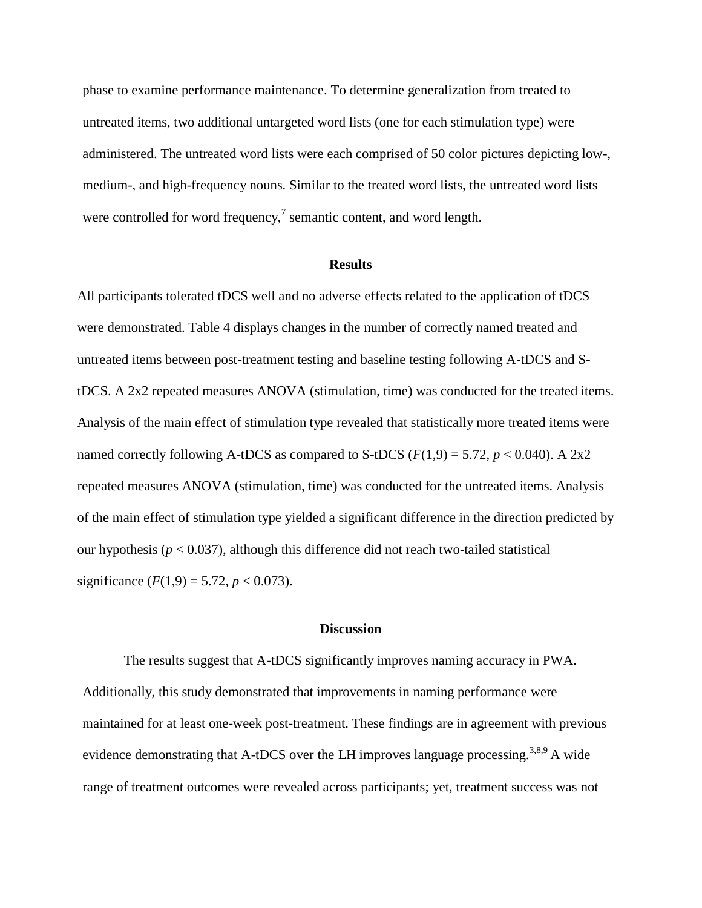phase to examine performance maintenance. To determine generalization from treated to untreated items, two additional untargeted word lists (one for each stimulation type) were administered. The untreated word lists were each comprised of 50 color pictures depicting low-, medium-, and high-frequency nouns. Similar to the treated word lists, the untreated word lists were controlled for word frequency, $\frac{7}{1}$  semantic content, and word length.

## **Results**

All participants tolerated tDCS well and no adverse effects related to the application of tDCS were demonstrated. Table 4 displays changes in the number of correctly named treated and untreated items between post-treatment testing and baseline testing following A-tDCS and StDCS. A 2x2 repeated measures ANOVA (stimulation, time) was conducted for the treated items. Analysis of the main effect of stimulation type revealed that statistically more treated items were named correctly following A-tDCS as compared to S-tDCS  $(F(1,9) = 5.72, p < 0.040)$ . A 2x2 repeated measures ANOVA (stimulation, time) was conducted for the untreated items. Analysis of the main effect of stimulation type yielded a significant difference in the direction predicted by our hypothesis ( $p < 0.037$ ), although this difference did not reach two-tailed statistical significance  $(F(1,9) = 5.72, p < 0.073)$ .

#### **Discussion**

The results suggest that A-tDCS significantly improves naming accuracy in PWA. Additionally, this study demonstrated that improvements in naming performance were maintained for at least one-week post-treatment. These findings are in agreement with previous evidence demonstrating that A-tDCS over the LH improves language processing.<sup>3,8,9</sup> A wide range of treatment outcomes were revealed across participants; yet, treatment success was not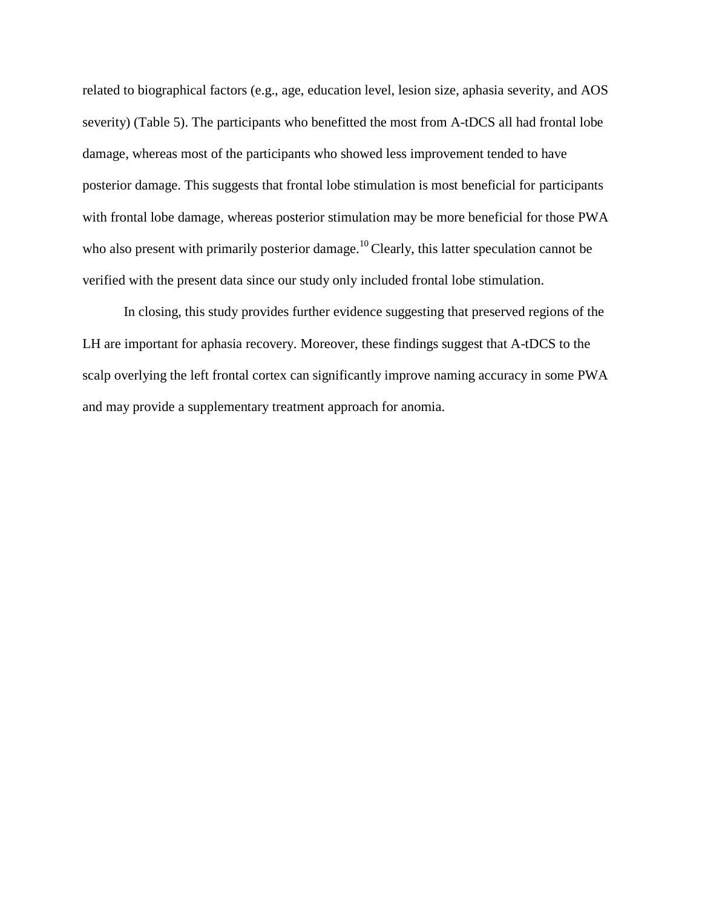related to biographical factors (e.g., age, education level, lesion size, aphasia severity, and AOS severity) (Table 5). The participants who benefitted the most from A-tDCS all had frontal lobe damage, whereas most of the participants who showed less improvement tended to have posterior damage. This suggests that frontal lobe stimulation is most beneficial for participants with frontal lobe damage, whereas posterior stimulation may be more beneficial for those PWA who also present with primarily posterior damage.<sup>10</sup> Clearly, this latter speculation cannot be verified with the present data since our study only included frontal lobe stimulation.

In closing, this study provides further evidence suggesting that preserved regions of the LH are important for aphasia recovery. Moreover, these findings suggest that A-tDCS to the scalp overlying the left frontal cortex can significantly improve naming accuracy in some PWA and may provide a supplementary treatment approach for anomia.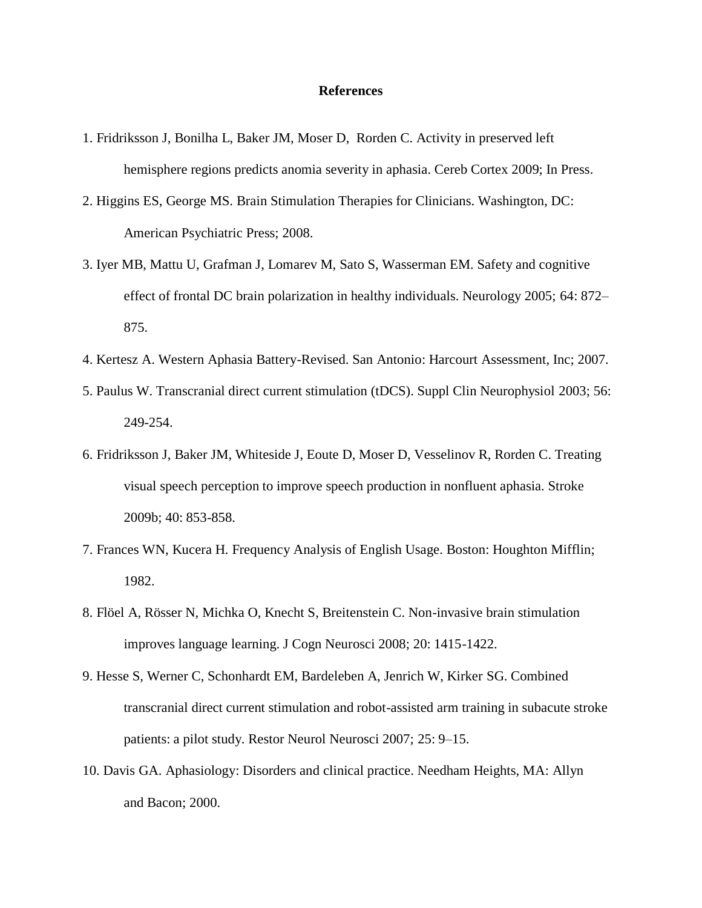#### **References**

- 1. Fridriksson J, Bonilha L, Baker JM, Moser D, Rorden C. Activity in preserved left hemisphere regions predicts anomia severity in aphasia. Cereb Cortex 2009; In Press.
- 2. Higgins ES, George MS. Brain Stimulation Therapies for Clinicians. Washington, DC: American Psychiatric Press; 2008.
- 3. Iyer MB, Mattu U, Grafman J, Lomarev M, Sato S, Wasserman EM. Safety and cognitive effect of frontal DC brain polarization in healthy individuals. Neurology 2005; 64: 872– 875.
- 4. Kertesz A. Western Aphasia Battery-Revised. San Antonio: Harcourt Assessment, Inc; 2007.
- 5. Paulus W. Transcranial direct current stimulation (tDCS). Suppl Clin Neurophysiol 2003; 56: 249-254.
- 6. Fridriksson J, Baker JM, Whiteside J, Eoute D, Moser D, Vesselinov R, Rorden C. Treating visual speech perception to improve speech production in nonfluent aphasia. Stroke 2009b; 40: 853-858.
- 7. Frances WN, Kucera H. Frequency Analysis of English Usage. Boston: Houghton Mifflin; 1982.
- 8. Flöel A, Rösser N, Michka O, Knecht S, Breitenstein C. Non-invasive brain stimulation improves language learning. J Cogn Neurosci 2008; 20: 1415-1422.
- 9. Hesse S, Werner C, Schonhardt EM, Bardeleben A, Jenrich W, Kirker SG. Combined transcranial direct current stimulation and robot-assisted arm training in subacute stroke patients: a pilot study. Restor Neurol Neurosci 2007; 25: 9–15.
- 10. Davis GA. Aphasiology: Disorders and clinical practice. Needham Heights, MA: Allyn and Bacon; 2000.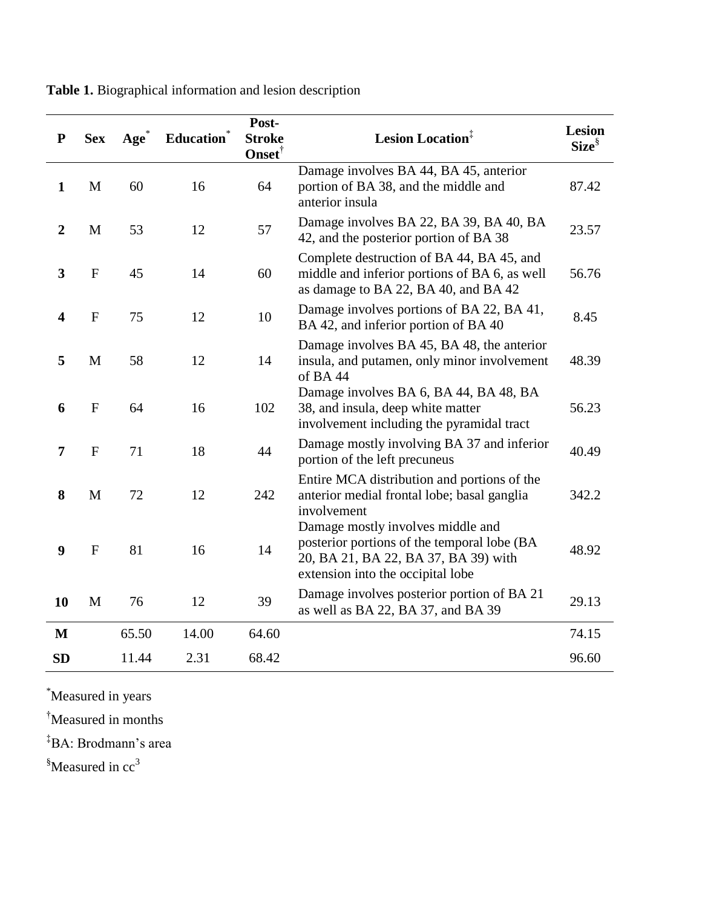| ${\bf P}$               | <b>Sex</b>   | $Age^{\circ}$ | Education | Post-<br><b>Stroke</b><br>Onset <sup>†</sup> | Lesion Location <sup>‡</sup>                                                                                                                                  | Lesion<br>$Size^{\S}$ |
|-------------------------|--------------|---------------|-----------|----------------------------------------------|---------------------------------------------------------------------------------------------------------------------------------------------------------------|-----------------------|
| $\mathbf{1}$            | $\mathbf M$  | 60            | 16        | 64                                           | Damage involves BA 44, BA 45, anterior<br>portion of BA 38, and the middle and<br>anterior insula                                                             | 87.42                 |
| $\boldsymbol{2}$        | M            | 53            | 12        | 57                                           | Damage involves BA 22, BA 39, BA 40, BA<br>42, and the posterior portion of BA 38                                                                             | 23.57                 |
| $\overline{\mathbf{3}}$ | ${\bf F}$    | 45            | 14        | 60                                           | Complete destruction of BA 44, BA 45, and<br>middle and inferior portions of BA 6, as well<br>as damage to BA 22, BA 40, and BA 42                            | 56.76                 |
| $\overline{\mathbf{4}}$ | $\mathbf F$  | 75            | 12        | 10                                           | Damage involves portions of BA 22, BA 41,<br>BA 42, and inferior portion of BA 40                                                                             | 8.45                  |
| 5                       | M            | 58            | 12        | 14                                           | Damage involves BA 45, BA 48, the anterior<br>insula, and putamen, only minor involvement<br>of BA44                                                          | 48.39                 |
| 6                       | ${\bf F}$    | 64            | 16        | 102                                          | Damage involves BA 6, BA 44, BA 48, BA<br>38, and insula, deep white matter<br>involvement including the pyramidal tract                                      | 56.23                 |
| $\overline{7}$          | ${\bf F}$    | 71            | 18        | 44                                           | Damage mostly involving BA 37 and inferior<br>portion of the left precuneus                                                                                   | 40.49                 |
| 8                       | M            | 72            | 12        | 242                                          | Entire MCA distribution and portions of the<br>anterior medial frontal lobe; basal ganglia<br>involvement                                                     | 342.2                 |
| 9                       | $\mathbf{F}$ | 81            | 16        | 14                                           | Damage mostly involves middle and<br>posterior portions of the temporal lobe (BA<br>20, BA 21, BA 22, BA 37, BA 39) with<br>extension into the occipital lobe | 48.92                 |
| 10                      | M            | 76            | 12        | 39                                           | Damage involves posterior portion of BA 21<br>as well as BA 22, BA 37, and BA 39                                                                              | 29.13                 |
| M                       |              | 65.50         | 14.00     | 64.60                                        |                                                                                                                                                               | 74.15                 |
| <b>SD</b>               |              | 11.44         | 2.31      | 68.42                                        |                                                                                                                                                               | 96.60                 |

**Table 1.** Biographical information and lesion description

\*Measured in years

†Measured in months

‡BA: Brodmann's area

<sup>§</sup>Measured in cc<sup>3</sup>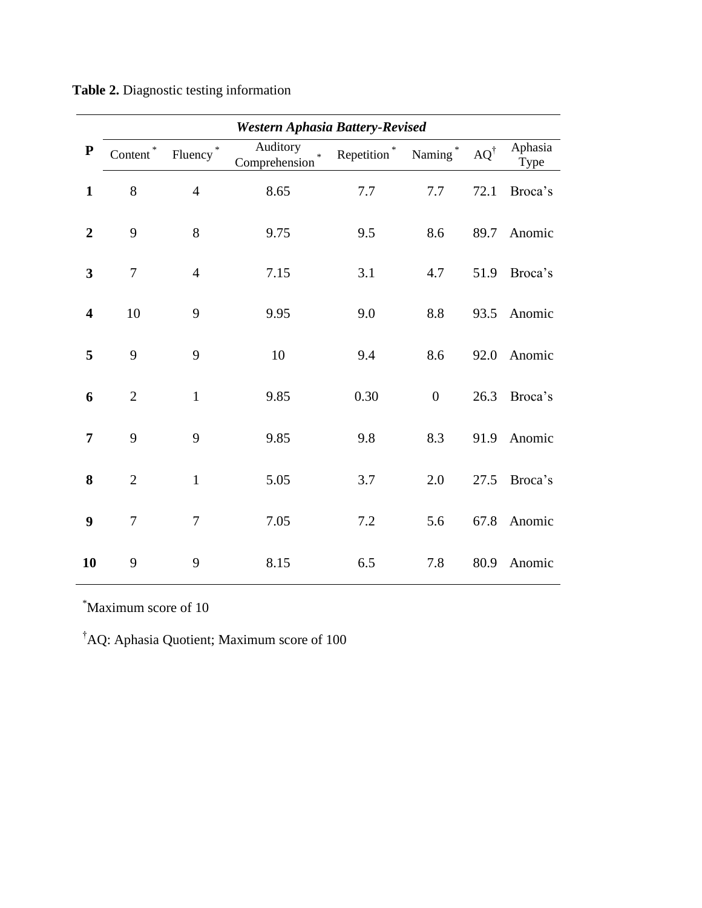|                         | <b>Western Aphasia Battery-Revised</b> |                |                                     |                |                     |                     |                 |  |  |  |
|-------------------------|----------------------------------------|----------------|-------------------------------------|----------------|---------------------|---------------------|-----------------|--|--|--|
| ${\bf P}$               | $Content^*$                            | Fluency $*$    | Auditory<br>$\ast$<br>Comprehension | Repetition $*$ | Naming <sup>*</sup> | $\text{AQ}^\dagger$ | Aphasia<br>Type |  |  |  |
| $\mathbf{1}$            | 8                                      | $\overline{4}$ | 8.65                                | $7.7\,$        | 7.7                 | 72.1                | Broca's         |  |  |  |
| $\overline{2}$          | 9                                      | 8              | 9.75                                | 9.5            | 8.6                 | 89.7                | Anomic          |  |  |  |
| 3                       | $\tau$                                 | $\overline{4}$ | 7.15                                | 3.1            | 4.7                 | 51.9                | Broca's         |  |  |  |
| $\overline{\mathbf{4}}$ | 10                                     | 9              | 9.95                                | 9.0            | $8.8\,$             | 93.5                | Anomic          |  |  |  |
| 5                       | 9                                      | 9              | 10                                  | 9.4            | 8.6                 | 92.0                | Anomic          |  |  |  |
| 6                       | $\overline{2}$                         | $\mathbf{1}$   | 9.85                                | 0.30           | $\overline{0}$      | 26.3                | Broca's         |  |  |  |
| 7                       | 9                                      | 9              | 9.85                                | 9.8            | 8.3                 | 91.9                | Anomic          |  |  |  |
| 8                       | $\overline{2}$                         | $\mathbf{1}$   | 5.05                                | 3.7            | 2.0                 | 27.5                | Broca's         |  |  |  |
| 9                       | $\overline{7}$                         | $\overline{7}$ | 7.05                                | 7.2            | 5.6                 | 67.8                | Anomic          |  |  |  |
| 10                      | 9                                      | 9              | 8.15                                | 6.5            | 7.8                 | 80.9                | Anomic          |  |  |  |

\*Maximum score of 10

†AQ: Aphasia Quotient; Maximum score of 100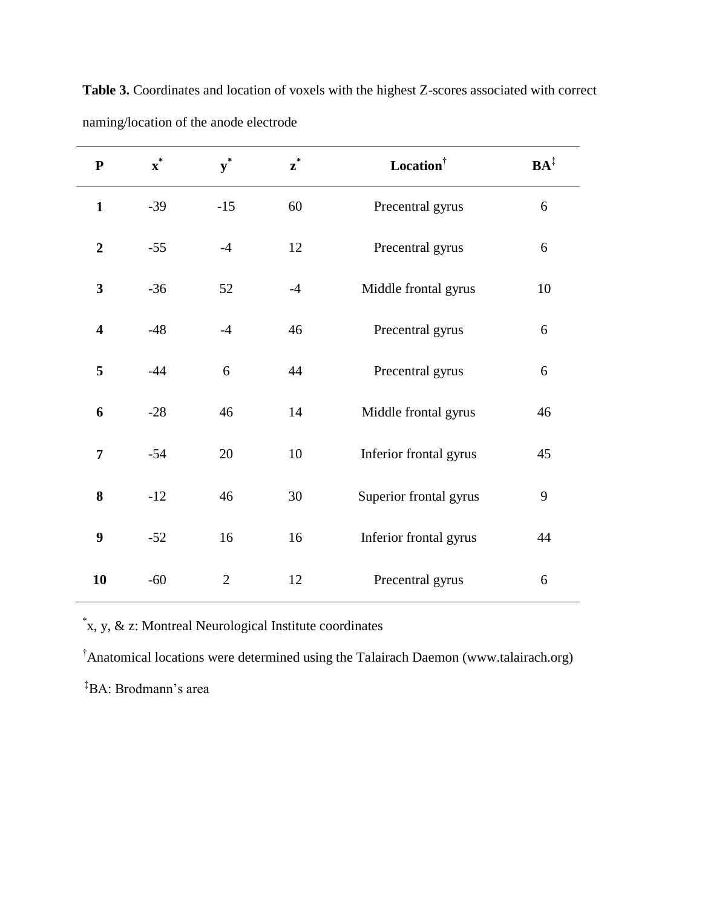| ${\bf P}$               | $\boldsymbol{x}^*$ | $\mathbf{y}^*$ | $\boldsymbol{z}^*$ | Location               | $BA^{\ddagger}$ |
|-------------------------|--------------------|----------------|--------------------|------------------------|-----------------|
| $\mathbf{1}$            | $-39$              | $-15$          | 60                 | Precentral gyrus       | 6               |
| $\overline{2}$          | $-55$              | $-4$           | 12                 | Precentral gyrus       | 6               |
| $\overline{\mathbf{3}}$ | $-36$              | 52             | $-4$               | Middle frontal gyrus   | 10              |
| $\overline{\mathbf{4}}$ | $-48$              | $-4$           | 46                 | Precentral gyrus       | 6               |
| 5                       | $-44$              | 6              | 44                 | Precentral gyrus       | 6               |
| 6                       | $-28$              | 46             | 14                 | Middle frontal gyrus   | 46              |
| $\overline{7}$          | $-54$              | 20             | 10                 | Inferior frontal gyrus | 45              |
| 8                       | $-12$              | 46             | 30                 | Superior frontal gyrus | 9               |
| 9                       | $-52$              | 16             | 16                 | Inferior frontal gyrus | 44              |
| 10                      | $-60$              | $\overline{2}$ | 12                 | Precentral gyrus       | 6               |

Table 3. Coordinates and location of voxels with the highest Z-scores associated with correct naming/location of the anode electrode

\* x, y, & z: Montreal Neurological Institute coordinates

†Anatomical locations were determined using the Talairach Daemon (www.talairach.org)

‡BA: Brodmann's area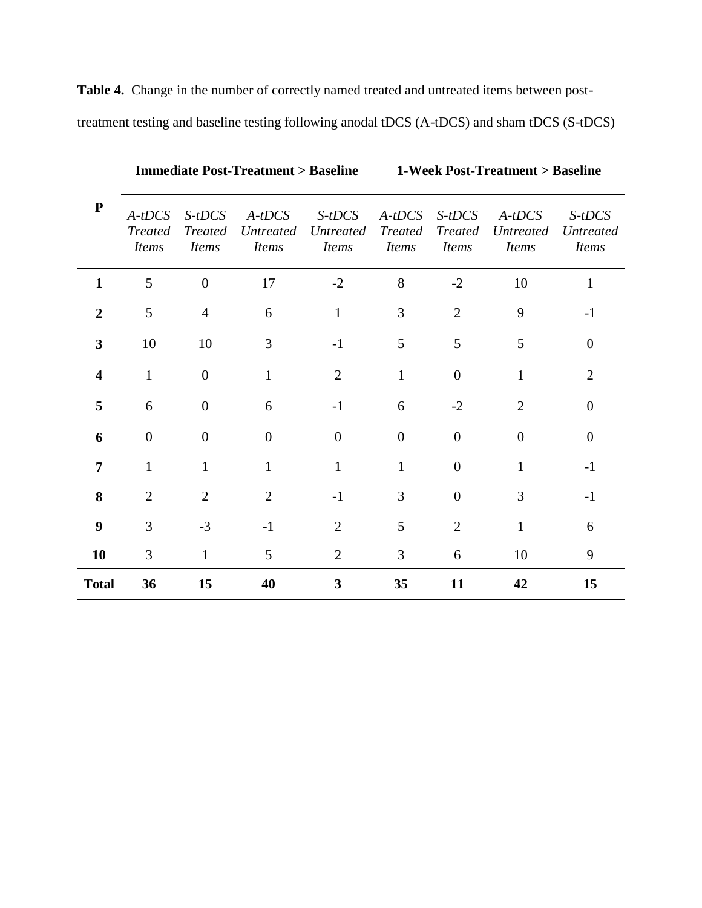| ${\bf P}$      |                                            |                                            |                                              | <b>Immediate Post-Treatment &gt; Baseline</b><br><b>1-Week Post-Treatment &gt; Baseline</b> |                                            |                                            |                                              |                                              |
|----------------|--------------------------------------------|--------------------------------------------|----------------------------------------------|---------------------------------------------------------------------------------------------|--------------------------------------------|--------------------------------------------|----------------------------------------------|----------------------------------------------|
|                | $A-tDCS$<br><b>Treated</b><br><b>Items</b> | $S-tDCS$<br><b>Treated</b><br><i>Items</i> | $A-tDCS$<br><i>Untreated</i><br><i>Items</i> | S-tDCS<br><b>Untreated</b><br><i>Items</i>                                                  | $A-tDCS$<br><b>Treated</b><br><i>Items</i> | $S-tDCS$<br><b>Treated</b><br><i>Items</i> | $A-tDCS$<br><b>Untreated</b><br><b>Items</b> | $S-tDCS$<br><b>Untreated</b><br><b>Items</b> |
| 1              | 5                                          | $\overline{0}$                             | 17                                           | $-2$                                                                                        | 8                                          | $-2$                                       | 10                                           | $\mathbf{1}$                                 |
| $\overline{2}$ | 5                                          | $\overline{4}$                             | 6                                            | $\mathbf{1}$                                                                                | 3                                          | $\overline{2}$                             | 9                                            | $-1$                                         |
| 3              | 10                                         | 10                                         | 3                                            | $-1$                                                                                        | 5                                          | 5                                          | 5                                            | $\overline{0}$                               |
| 4              | $\mathbf{1}$                               | $\overline{0}$                             | 1                                            | $\overline{2}$                                                                              | 1                                          | $\theta$                                   | $\mathbf{1}$                                 | $\overline{2}$                               |
| 5              | 6                                          | $\boldsymbol{0}$                           | 6                                            | $-1$                                                                                        | 6                                          | $-2$                                       | $\overline{2}$                               | $\overline{0}$                               |
| 6              | $\theta$                                   | $\boldsymbol{0}$                           | $\overline{0}$                               | $\overline{0}$                                                                              | $\overline{0}$                             | $\overline{0}$                             | $\theta$                                     | $\theta$                                     |
| 7              | $\mathbf{1}$                               | $\mathbf{1}$                               | 1                                            | 1                                                                                           | 1                                          | $\overline{0}$                             | 1                                            | $-1$                                         |
| 8              | $\overline{2}$                             | $\overline{2}$                             | $\overline{2}$                               | $-1$                                                                                        | 3                                          | $\overline{0}$                             | 3                                            | $-1$                                         |
| 9              | $\overline{3}$                             | $-3$                                       | $-1$                                         | $\overline{2}$                                                                              | 5                                          | $\overline{2}$                             | $\mathbf{1}$                                 | 6                                            |
| 10             | 3                                          | $\mathbf{1}$                               | 5                                            | $\overline{2}$                                                                              | 3                                          | 6                                          | 10                                           | 9                                            |
| <b>Total</b>   | 36                                         | 15                                         | 40                                           | 3                                                                                           | 35                                         | 11                                         | 42                                           | 15                                           |

 **Table 4.** Change in the number of correctly named treated and untreated items between post-

treatment testing and baseline testing following anodal tDCS (A-tDCS) and sham tDCS (S-tDCS)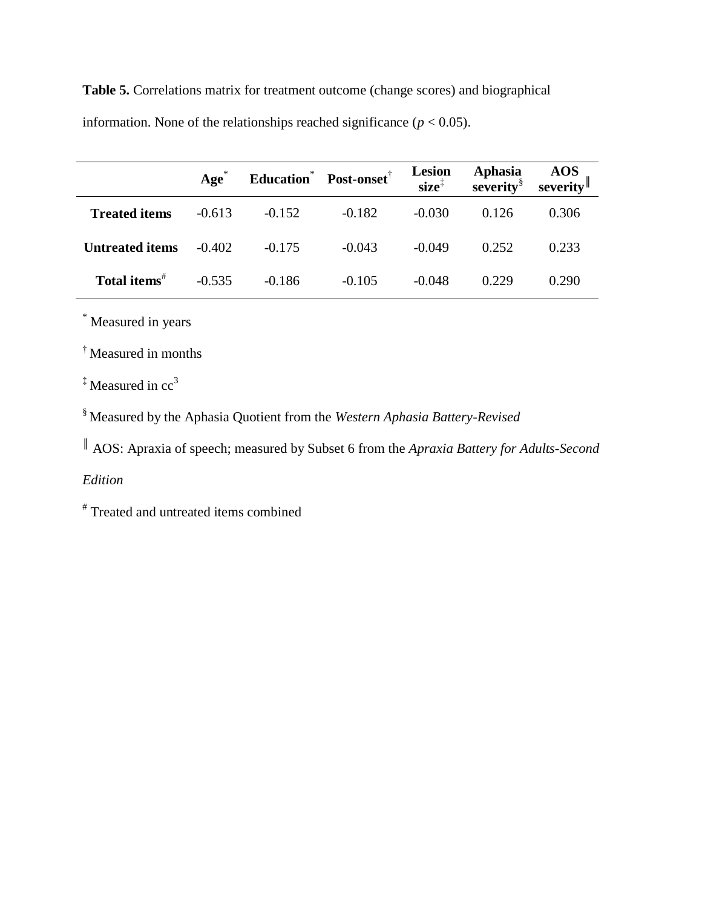**Table 5.** Correlations matrix for treatment outcome (change scores) and biographical information. None of the relationships reached significance ( $p < 0.05$ ).

|                          | $Age*$   |          | Education <sup>*</sup> Post-onset <sup>†</sup> | <b>Lesion</b><br>$size^{\ddagger}$ | Aphasia<br>severity <sup>§</sup> | $\frac{1}{3}$ AOS<br>severity |
|--------------------------|----------|----------|------------------------------------------------|------------------------------------|----------------------------------|-------------------------------|
| <b>Treated items</b>     | $-0.613$ | $-0.152$ | $-0.182$                                       | $-0.030$                           | 0.126                            | 0.306                         |
| <b>Untreated items</b>   | $-0.402$ | $-0.175$ | $-0.043$                                       | $-0.049$                           | 0.252                            | 0.233                         |
| Total items <sup>#</sup> | $-0.535$ | $-0.186$ | $-0.105$                                       | $-0.048$                           | 0.229                            | 0.290                         |

\* Measured in years

† Measured in months

 $\frac{4}{3}$  Measured in cc<sup>3</sup>

§ Measured by the Aphasia Quotient from the *Western Aphasia Battery-Revised*

║ AOS: Apraxia of speech; measured by Subset 6 from the *Apraxia Battery for Adults-Second* 

# *Edition*

# Treated and untreated items combined